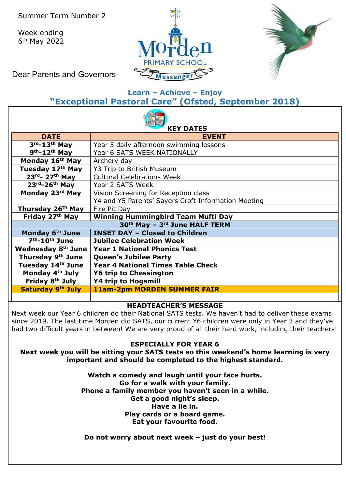Week ending 6th May 2022





Dear Parents and Governors

# **Learn – Achieve – Enjoy "Exceptional Pastoral Care" (Ofsted, September 2018)**

| <b>KEY DATES</b>                                                          |                                                     |  |  |  |  |  |  |
|---------------------------------------------------------------------------|-----------------------------------------------------|--|--|--|--|--|--|
| <b>DATE</b>                                                               | <b>EVENT</b>                                        |  |  |  |  |  |  |
| $3rd - 13th$ May                                                          | Year 5 daily afternoon swimming lessons             |  |  |  |  |  |  |
| $\overline{9}^{\text{th}}$ -12 <sup>th</sup> May                          | Year 6 SATS WEEK NATIONALLY                         |  |  |  |  |  |  |
| Monday 16 <sup>th</sup> May                                               | Archery day                                         |  |  |  |  |  |  |
| Tuesday 17th May                                                          | Y3 Trip to British Museum                           |  |  |  |  |  |  |
| $23^{rd}$ - 27 <sup>th</sup> May                                          | <b>Cultural Celebrations Week</b>                   |  |  |  |  |  |  |
| $23^{\text{rd}} - 26^{\text{th}}$ May                                     | Year 2 SATS Week                                    |  |  |  |  |  |  |
| Monday 23rd May                                                           | Vision Screening for Reception class                |  |  |  |  |  |  |
|                                                                           | Y4 and Y5 Parents' Sayers Croft Information Meeting |  |  |  |  |  |  |
| Thursday 26 <sup>th</sup> May                                             | Fire Pit Day                                        |  |  |  |  |  |  |
| Friday 27th May                                                           | <b>Winning Hummingbird Team Mufti Day</b>           |  |  |  |  |  |  |
| 30 <sup>th</sup> May - 3 <sup>rd</sup> June HALF TERM                     |                                                     |  |  |  |  |  |  |
| Monday 6th June                                                           | <b>INSET DAY - Closed to Children</b>               |  |  |  |  |  |  |
| 7 <sup>th</sup> -10 <sup>th</sup> June<br><b>Jubilee Celebration Week</b> |                                                     |  |  |  |  |  |  |
| Wednesday 8 <sup>th</sup> June                                            | <b>Year 1 National Phonics Test</b>                 |  |  |  |  |  |  |
| Thursday 9th June                                                         | <b>Queen's Jubilee Party</b>                        |  |  |  |  |  |  |
| Tuesday 14th June                                                         | <b>Year 4 National Times Table Check</b>            |  |  |  |  |  |  |
| Monday 4 <sup>th</sup> July                                               | <b>Y6 trip to Chessington</b>                       |  |  |  |  |  |  |
| Friday 8 <sup>th</sup> July                                               | <b>Y4 trip to Hogsmill</b>                          |  |  |  |  |  |  |
| Saturday 9th July                                                         | <b>11am-2pm MORDEN SUMMER FAIR</b>                  |  |  |  |  |  |  |

## **HEADTEACHER'S MESSAGE**

Next week our Year 6 children do their National SATS tests. We haven't had to deliver these exams since 2019. The last time Morden did SATS, our current Y6 children were only in Year 3 and they've had two difficult years in between! We are very proud of all their hard work, including their teachers!

## **ESPECIALLY FOR YEAR 6**

**Next week you will be sitting your SATS tests so this weekend's home learning is very important and should be completed to the highest standard.** 

> **Watch a comedy and laugh until your face hurts. Go for a walk with your family. Phone a family member you haven't seen in a while. Get a good night's sleep. Have a lie in. Play cards or a board game. Eat your favourite food.**

**Do not worry about next week – just do your best!**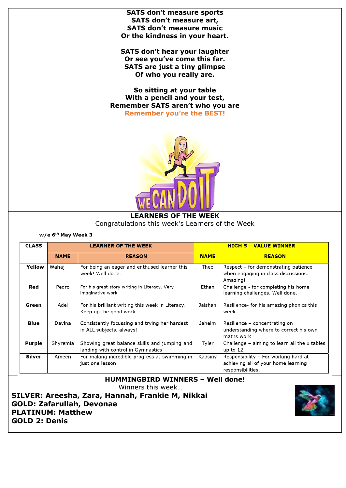**SATS don't measure sports SATS don't measure art, SATS don't measure music Or the kindness in your heart.** 

**SATS don't hear your laughter Or see you've come this far. SATS are just a tiny glimpse Of who you really are.** 

**So sitting at your table With a pencil and your test, Remember SATS aren't who you are Remember you're the BEST!**



#### **LEARNERS OF THE WEEK** Congratulations this week's Learners of the Week

w/e 6<sup>th</sup> May Week 3

| <b>CLASS</b>  |             | <b>LEARNER OF THE WEEK</b>                                                         |             | <b>HIGH 5 - VALUE WINNER</b>                                                                     |  |  |
|---------------|-------------|------------------------------------------------------------------------------------|-------------|--------------------------------------------------------------------------------------------------|--|--|
|               | <b>NAME</b> | <b>REASON</b>                                                                      | <b>NAME</b> | <b>REASON</b>                                                                                    |  |  |
| Yellow        | Wahai       | For being an eager and enthused learner this<br>week! Well done.                   | Theo        | Respect – for demonstrating patience<br>when engaging in class discussions.<br>Amazing!          |  |  |
| Red           | Pedro       | For his great story writing in Literacy. Very<br>imaginative work                  | Ethan       | Challenge - for completing his home<br>learning challenges. Well done.                           |  |  |
| Green         | Adel        | For his brilliant writing this week in Literacy.<br>Keep up the good work.         | Jaishan     | Resilience for his amazing phonics this<br>week.                                                 |  |  |
| Blue          | Davina      | Consistently focussing and trying her hardest<br>in ALL subjects, always!          | Jaheim      | Resilience – concentrating on<br>understanding where to correct his own<br>maths work            |  |  |
| <b>Purple</b> | Shyremia    | Showing great balance skills and jumping and<br>landing with control in Gymnastics | Tyler       | Challenge $-$ aiming to learn all the x tables<br>up to 12.                                      |  |  |
| Silver        | Ameen       | For making incredible progress at swimming in<br>just one lesson.                  | Kaasiny     | Responsibility - For working hard at<br>achieving all of your home learning<br>responsibilities. |  |  |

## **HUMMINGBIRD WINNERS – Well done!**

Winners this week…

**SILVER: Areesha, Zara, Hannah, Frankie M, Nikkai GOLD: Zafarullah, Devonae PLATINUM: Matthew GOLD 2: Denis**